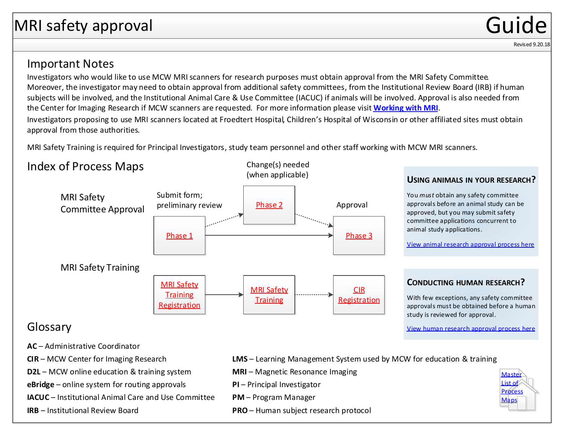## <span id="page-0-0"></span>MRI safety approval and the contract of the Guide Contract of Guide Contract of Guide Contract of Guide Contra

#### Revised 9.20.18

### Important Notes

Investigators who would like to use MCW MRI scanners for research purposes must obtain approval from the MRI Safety Committee. Moreover, the investigator may need to obtain approval from additional safety committees, from the Institutional Review Board (IRB) if human subjects will be involved, and the Institutional Animal Care & Use Committee (IACUC) if animals will be involved. Approval is also needed from the Center for Imaging Research if MCW scanners are requested. For more information please visit **[Working with MRI](https://www.mcw.edu/departments/research-resources/onboarding/FAQs/working-with-mri)**. Investigators proposing to use MRI scanners located at Froedtert Hospital, Children's Hospital of Wisconsin or other affiliated sites must obtain approval from those authorities.

Change(s) needed

MRI Safety Training is required for Principal Investigators, study team personnel and other staff working with MCW MRI scanners.

## Index of Process Maps



#### **USING ANIMALS IN YOUR RESEARCH?**

You *must* obtain any safety committee approvals before an animal study can be approved, but you may submit safety committee applications concurrent to animal study applications.

[View animal research approval process here](https://www.mcw.edu/-/media/MCW/Departments/Research-Resources/animalresearchapproval.pdf)

### **CONDUCTING HUMAN RESEARCH?**

With few exceptions, any safety committee [approvals must be obtained before a human](https://www.mcw.edu/-/media/MCW/Departments/Research-Resources/humanresearchapproval.pdf)  study is reviewed for approval.

View human research approval process here

- **AC** Administrative Coordinator
- **CIR** MCW Center for Imaging Research
- **D2L** MCW online education & training system **MRI** Magnetic Resonance Imaging
- **eBridge** online system for routing approvals **PI** Principal Investigator
- **IACUC**  Institutional Animal Care and Use Committee
- **IRB**  Institutional Review Board
- **LMS** Learning Management System used by MCW for education & training
- 
- 
- **PM**  Program Manager
- **PRO** Human subject research protocol

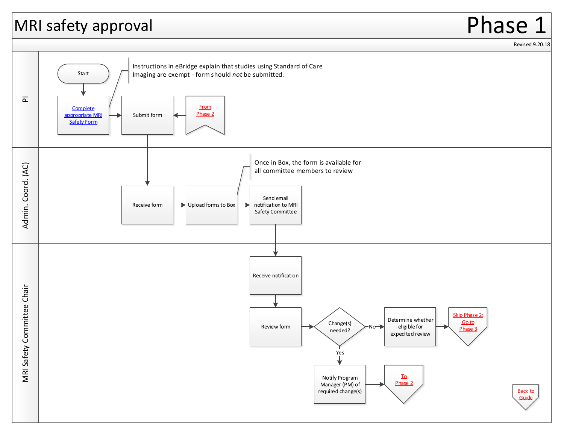## <span id="page-1-0"></span>MRI safety approval



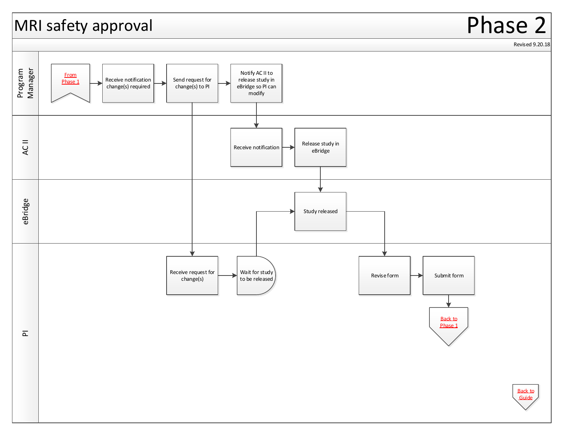## <span id="page-2-0"></span>MRI safety approval

# Phase 2

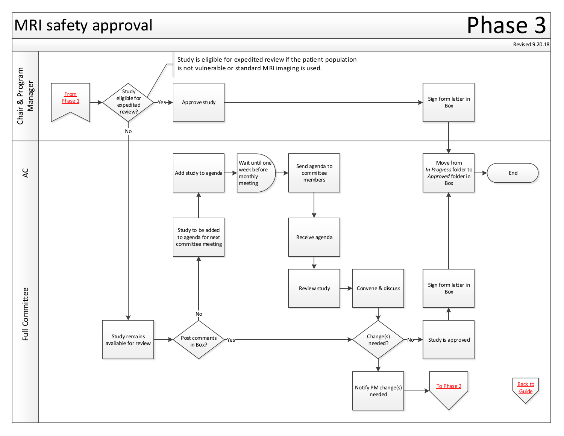## <span id="page-3-0"></span>MRI safety approval

# Phase 3

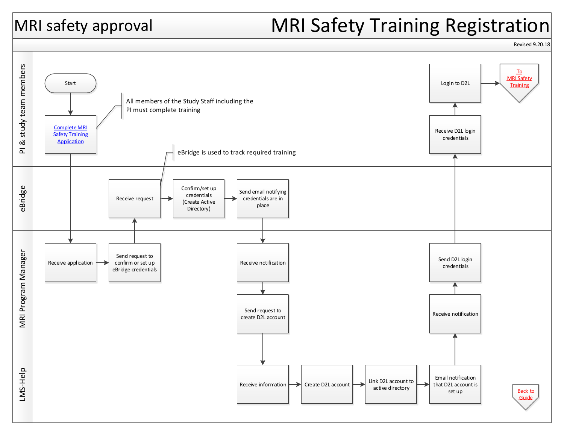# <span id="page-4-0"></span>MRI safety approval MRI Safety Training Registration



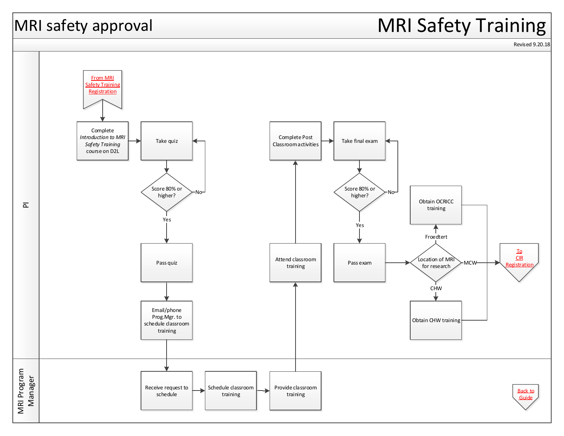# <span id="page-5-0"></span>|MRI safety approval MRI Safety Training